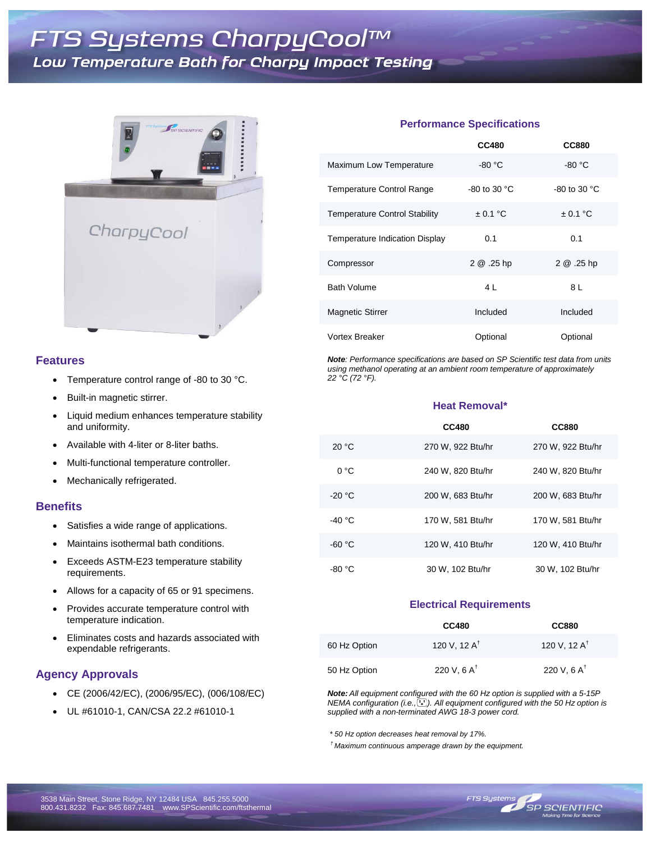

### **Features**

- Temperature control range of -80 to 30 °C.
- Built-in magnetic stirrer.
- Liquid medium enhances temperature stability and uniformity.
- Available with 4-liter or 8-liter baths.
- Multi-functional temperature controller.
- Mechanically refrigerated.

#### **Benefits**

- Satisfies a wide range of applications.
- Maintains isothermal bath conditions.
- Exceeds ASTM-E23 temperature stability requirements.
- Allows for a capacity of 65 or 91 specimens.
- Provides accurate temperature control with temperature indication.
- Eliminates costs and hazards associated with expendable refrigerants.

## **Agency Approvals**

- CE (2006/42/EC), (2006/95/EC), (006/108/EC)
- UL #61010-1, CAN/CSA 22.2 #61010-1

#### **Performance Specifications**

|                                      | <b>CC480</b>           | <b>CC880</b>           |
|--------------------------------------|------------------------|------------------------|
| Maximum Low Temperature              | $-80 °C$               | $-80 °C$               |
| Temperature Control Range            | -80 to 30 $^{\circ}$ C | -80 to 30 $^{\circ}$ C |
| <b>Temperature Control Stability</b> | $\pm$ 0.1 °C           | $\pm$ 0.1 °C           |
| Temperature Indication Display       | 0.1                    | 0.1                    |
| Compressor                           | 2 @ .25 hp             | 2 @ .25 hp             |
| <b>Bath Volume</b>                   | 4 I                    | 8 L                    |
| <b>Magnetic Stirrer</b>              | Included               | Included               |
| <b>Vortex Breaker</b>                | Optional               | Optional               |

*Note: Performance specifications are based on SP Scientific test data from units using methanol operating at an ambient room temperature of approximately 22 °C (72 °F).*

#### **Heat Removal\***

|          | <b>CC480</b>      | <b>CC880</b>      |
|----------|-------------------|-------------------|
| 20 °C    | 270 W, 922 Btu/hr | 270 W, 922 Btu/hr |
| 0 °C     | 240 W, 820 Btu/hr | 240 W, 820 Btu/hr |
| $-20 °C$ | 200 W. 683 Btu/hr | 200 W. 683 Btu/hr |
| -40 °C   | 170 W. 581 Btu/hr | 170 W. 581 Btu/hr |
| $-60 °C$ | 120 W, 410 Btu/hr | 120 W, 410 Btu/hr |
| -80 °C   | 30 W, 102 Btu/hr  | 30 W, 102 Btu/hr  |

#### **Electrical Requirements**

|              | <b>CC480</b>            | <b>CC880</b>            |
|--------------|-------------------------|-------------------------|
| 60 Hz Option | 120 V, 12 $A^{\dagger}$ | 120 V, 12 $A^{\dagger}$ |
| 50 Hz Option | 220 V, 6 $A^{\dagger}$  | 220 V, 6 $A^{\dagger}$  |

*Note: All equipment configured with the 60 Hz option is supplied with a 5-15P NEMA configuration (i.e., ). All equipment configured with the 50 Hz option is supplied with a non-terminated AWG 18-3 power cord.*

 *\* 50 Hz option decreases heat removal by 17%.*

*† Maximum continuous amperage drawn by the equipment.*